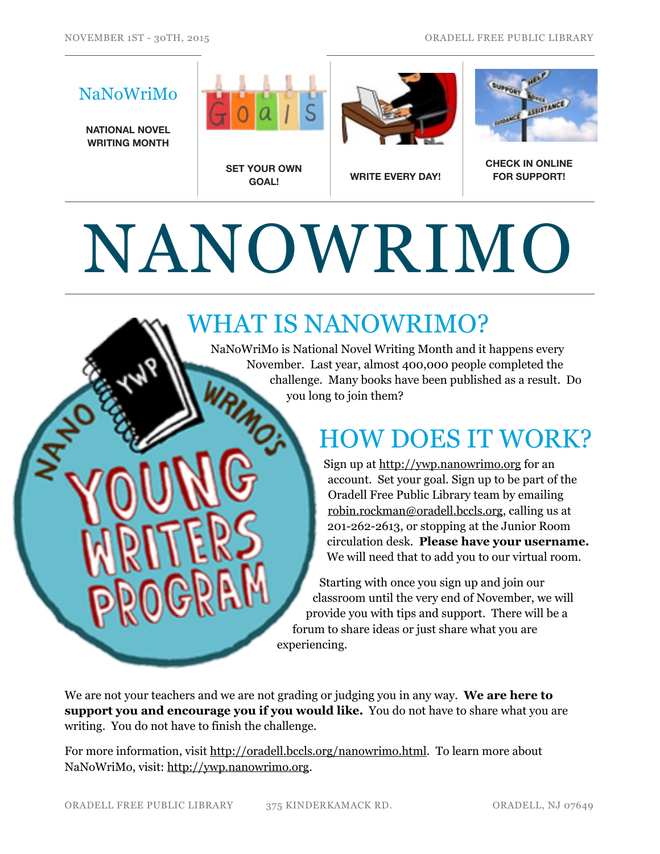## NaNoWriMo **NATIONAL NOVEL WRITING MONTH**





### **FOR SUPPORT!**

# NANOWRIMO

#### WHAT IS NANOWRIMO?

NaNoWriMo is National Novel Writing Month and it happens every November. Last year, almost 400,000 people completed the challenge. Many books have been published as a result. Do you long to join them?

### HOW DOES IT WORK?

Sign up at <http://ywp.nanowrimo.org>for an account. Set your goal. Sign up to be part of the Oradell Free Public Library team by emailing [robin.rockman@oradell.bccls.org,](mailto:robin.rockman@oradell.bccls.org) calling us at 201-262-2613, or stopping at the Junior Room circulation desk. **Please have your username.** We will need that to add you to our virtual room.

Starting with once you sign up and join our classroom until the very end of November, we will provide you with tips and support. There will be a forum to share ideas or just share what you are experiencing.

We are not your teachers and we are not grading or judging you in any way. **We are here to support you and encourage you if you would like.** You do not have to share what you are writing. You do not have to finish the challenge.

For more information, visit [http://oradell.bccls.org/nanowrimo.html.](http://oradell.bccls.org/nanowrimo.html) To learn more about NaNoWriMo, visit: [http://ywp.nanowrimo.org.](http://ywp.nanowrimo.org)